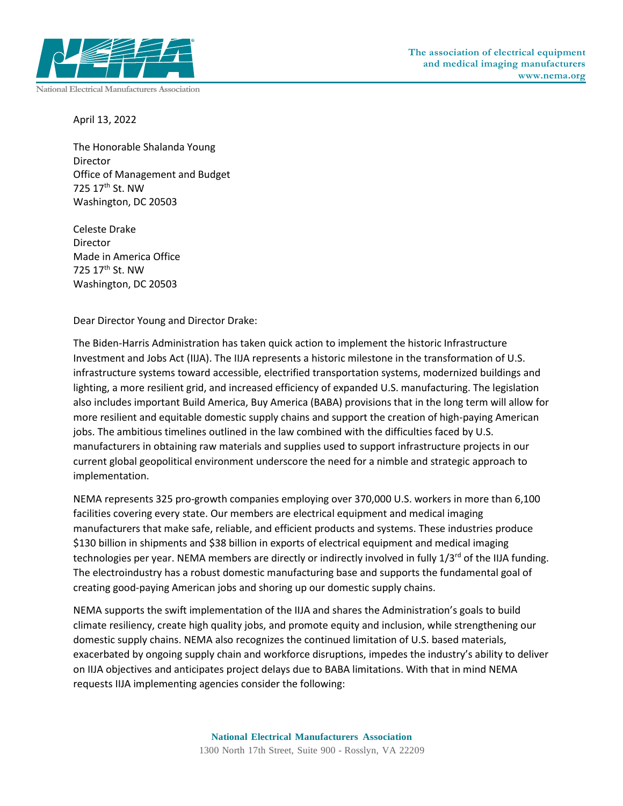

**National Electrical Manufacturers Association**

April 13, 2022

The Honorable Shalanda Young Director Office of Management and Budget 725 17th St. NW Washington, DC 20503

Celeste Drake Director Made in America Office 725 17th St. NW Washington, DC 20503

Dear Director Young and Director Drake:

The Biden-Harris Administration has taken quick action to implement the historic Infrastructure Investment and Jobs Act (IIJA). The IIJA represents a historic milestone in the transformation of U.S. infrastructure systems toward accessible, electrified transportation systems, modernized buildings and lighting, a more resilient grid, and increased efficiency of expanded U.S. manufacturing. The legislation also includes important Build America, Buy America (BABA) provisions that in the long term will allow for more resilient and equitable domestic supply chains and support the creation of high-paying American jobs. The ambitious timelines outlined in the law combined with the difficulties faced by U.S. manufacturers in obtaining raw materials and supplies used to support infrastructure projects in our current global geopolitical environment underscore the need for a nimble and strategic approach to implementation.

NEMA represents 325 pro-growth companies employing over 370,000 U.S. workers in more than 6,100 facilities covering every state. Our members are electrical equipment and medical imaging manufacturers that make safe, reliable, and efficient products and systems. These industries produce \$130 billion in shipments and \$38 billion in exports of electrical equipment and medical imaging technologies per year. NEMA members are directly or indirectly involved in fully 1/3<sup>rd</sup> of the IIJA funding. The electroindustry has a robust domestic manufacturing base and supports the fundamental goal of creating good-paying American jobs and shoring up our domestic supply chains.

NEMA supports the swift implementation of the IIJA and shares the Administration's goals to build climate resiliency, create high quality jobs, and promote equity and inclusion, while strengthening our domestic supply chains. NEMA also recognizes the continued limitation of U.S. based materials, exacerbated by ongoing supply chain and workforce disruptions, impedes the industry's ability to deliver on IIJA objectives and anticipates project delays due to BABA limitations. With that in mind NEMA requests IIJA implementing agencies consider the following: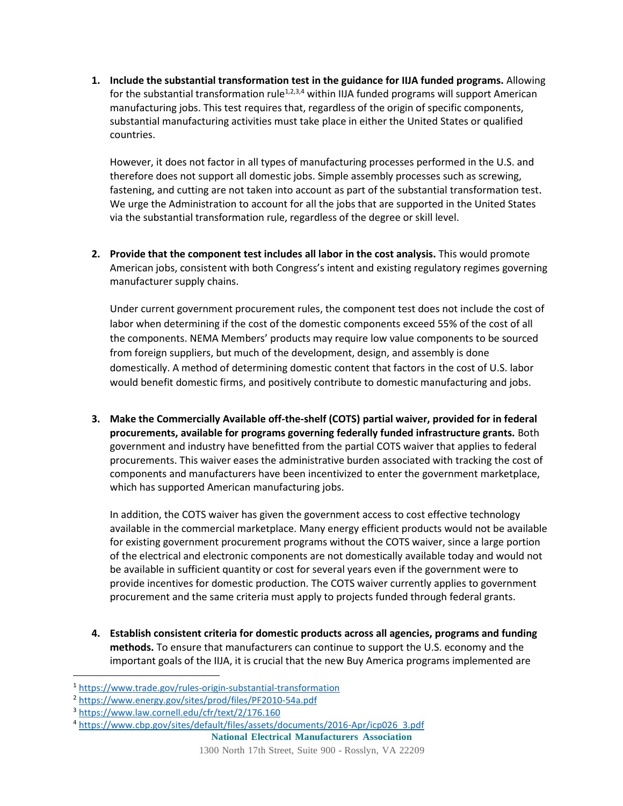**1. Include the substantial transformation test in the guidance for IIJA funded programs.** Allowing for the substantial transformation rule<sup>1,2,3,4</sup> within IIJA funded programs will support American manufacturing jobs. This test requires that, regardless of the origin of specific components, substantial manufacturing activities must take place in either the United States or qualified countries.

However, it does not factor in all types of manufacturing processes performed in the U.S. and therefore does not support all domestic jobs. Simple assembly processes such as screwing, fastening, and cutting are not taken into account as part of the substantial transformation test. We urge the Administration to account for all the jobs that are supported in the United States via the substantial transformation rule, regardless of the degree or skill level.

**2. Provide that the component test includes all labor in the cost analysis.** This would promote American jobs, consistent with both Congress's intent and existing regulatory regimes governing manufacturer supply chains.

Under current government procurement rules, the component test does not include the cost of labor when determining if the cost of the domestic components exceed 55% of the cost of all the components. NEMA Members' products may require low value components to be sourced from foreign suppliers, but much of the development, design, and assembly is done domestically. A method of determining domestic content that factors in the cost of U.S. labor would benefit domestic firms, and positively contribute to domestic manufacturing and jobs.

**3. Make the Commercially Available off-the-shelf (COTS) partial waiver, provided for in federal procurements, available for programs governing federally funded infrastructure grants.** Both government and industry have benefitted from the partial COTS waiver that applies to federal procurements. This waiver eases the administrative burden associated with tracking the cost of components and manufacturers have been incentivized to enter the government marketplace, which has supported American manufacturing jobs.

In addition, the COTS waiver has given the government access to cost effective technology available in the commercial marketplace. Many energy efficient products would not be available for existing government procurement programs without the COTS waiver, since a large portion of the electrical and electronic components are not domestically available today and would not be available in sufficient quantity or cost for several years even if the government were to provide incentives for domestic production. The COTS waiver currently applies to government procurement and the same criteria must apply to projects funded through federal grants.

**4. Establish consistent criteria for domestic products across all agencies, programs and funding methods.** To ensure that manufacturers can continue to support the U.S. economy and the important goals of the IIJA, it is crucial that the new Buy America programs implemented are

<sup>1</sup> <https://www.trade.gov/rules-origin-substantial-transformation>

<sup>2</sup> <https://www.energy.gov/sites/prod/files/PF2010-54a.pdf>

<sup>3</sup> <https://www.law.cornell.edu/cfr/text/2/176.160>

<sup>4</sup> [https://www.cbp.gov/sites/default/files/assets/documents/2016-Apr/icp026\\_3.pdf](https://www.cbp.gov/sites/default/files/assets/documents/2016-Apr/icp026_3.pdf)